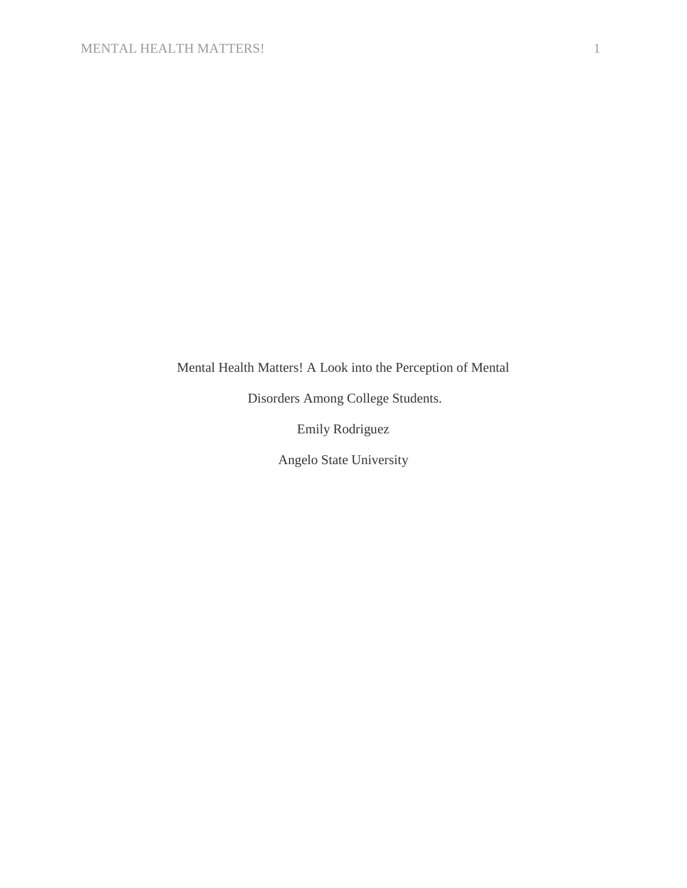# Mental Health Matters! A Look into the Perception of Mental

Disorders Among College Students.

Emily Rodriguez

Angelo State University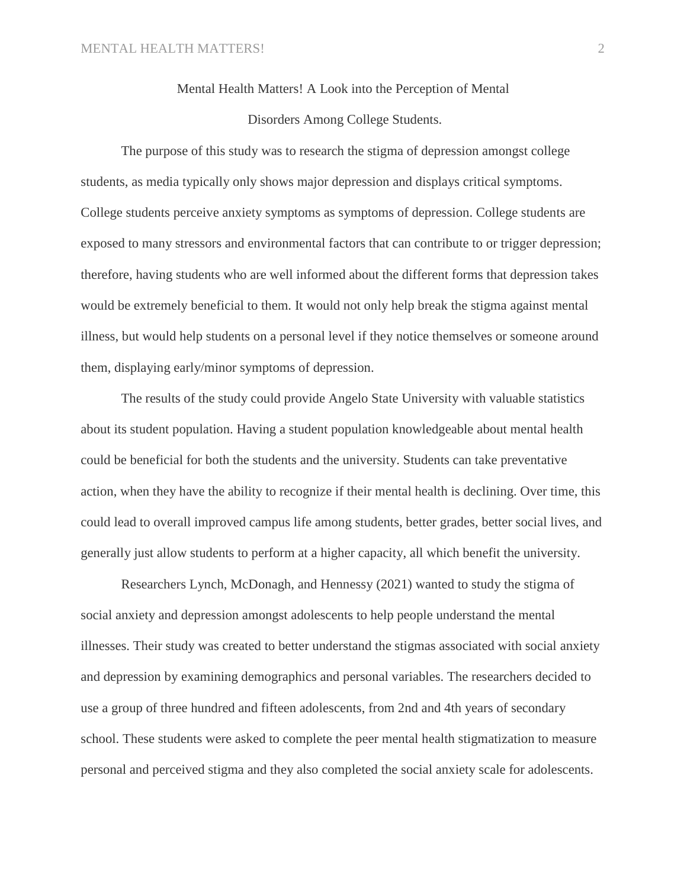# Mental Health Matters! A Look into the Perception of Mental Disorders Among College Students.

The purpose of this study was to research the stigma of depression amongst college students, as media typically only shows major depression and displays critical symptoms. College students perceive anxiety symptoms as symptoms of depression. College students are exposed to many stressors and environmental factors that can contribute to or trigger depression; therefore, having students who are well informed about the different forms that depression takes would be extremely beneficial to them. It would not only help break the stigma against mental illness, but would help students on a personal level if they notice themselves or someone around them, displaying early/minor symptoms of depression.

The results of the study could provide Angelo State University with valuable statistics about its student population. Having a student population knowledgeable about mental health could be beneficial for both the students and the university. Students can take preventative action, when they have the ability to recognize if their mental health is declining. Over time, this could lead to overall improved campus life among students, better grades, better social lives, and generally just allow students to perform at a higher capacity, all which benefit the university.

Researchers Lynch, McDonagh, and Hennessy (2021) wanted to study the stigma of social anxiety and depression amongst adolescents to help people understand the mental illnesses. Their study was created to better understand the stigmas associated with social anxiety and depression by examining demographics and personal variables. The researchers decided to use a group of three hundred and fifteen adolescents, from 2nd and 4th years of secondary school. These students were asked to complete the peer mental health stigmatization to measure personal and perceived stigma and they also completed the social anxiety scale for adolescents.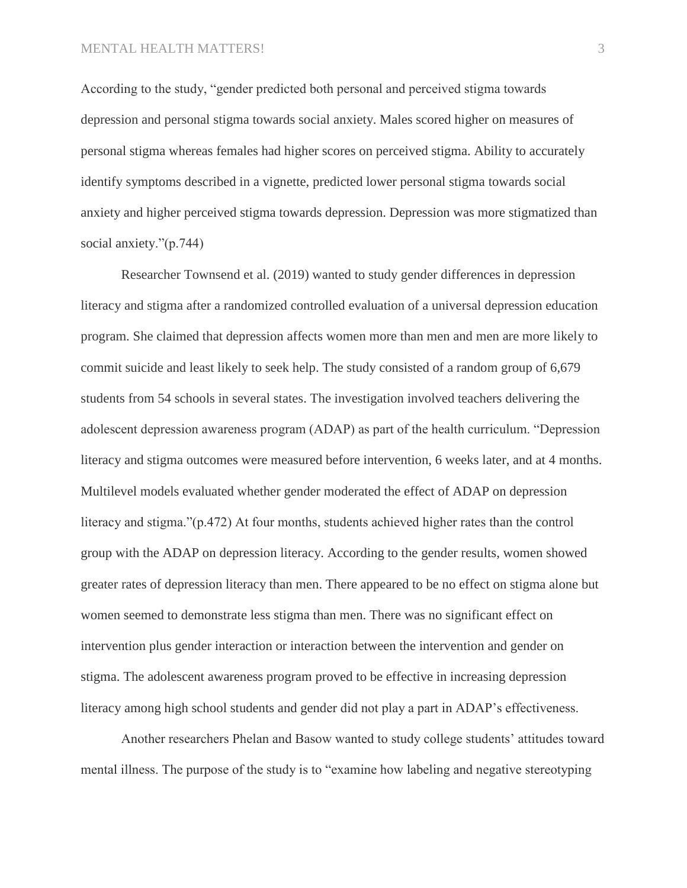According to the study, "gender predicted both personal and perceived stigma towards depression and personal stigma towards social anxiety. Males scored higher on measures of personal stigma whereas females had higher scores on perceived stigma. Ability to accurately identify symptoms described in a vignette, predicted lower personal stigma towards social anxiety and higher perceived stigma towards depression. Depression was more stigmatized than social anxiety."(p.744)

Researcher Townsend et al. (2019) wanted to study gender differences in depression literacy and stigma after a randomized controlled evaluation of a universal depression education program. She claimed that depression affects women more than men and men are more likely to commit suicide and least likely to seek help. The study consisted of a random group of 6,679 students from 54 schools in several states. The investigation involved teachers delivering the adolescent depression awareness program (ADAP) as part of the health curriculum. "Depression literacy and stigma outcomes were measured before intervention, 6 weeks later, and at 4 months. Multilevel models evaluated whether gender moderated the effect [of ADAP](https://www-sciencedirect-com.easydb.angelo.edu/topics/medicine-and-dentistry/depression-of-adolescent) on depression literacy and stigma."(p.472) At four months, students achieved higher rates than the control group with the ADAP on depression literacy. According to the gender results, women showed greater rates of depression literacy than men. There appeared to be no effect on stigma alone but women seemed to demonstrate less stigma than men. There was no significant effect on intervention plus gender interaction or interaction between the intervention and gender on stigma. The adolescent awareness program proved to be effective in increasing depression literacy among high school students and gender did not play a part in ADAP's effectiveness.

Another researchers Phelan and Basow wanted to study college students' attitudes toward mental illness. The purpose of the study is to "examine how labeling and negative stereotyping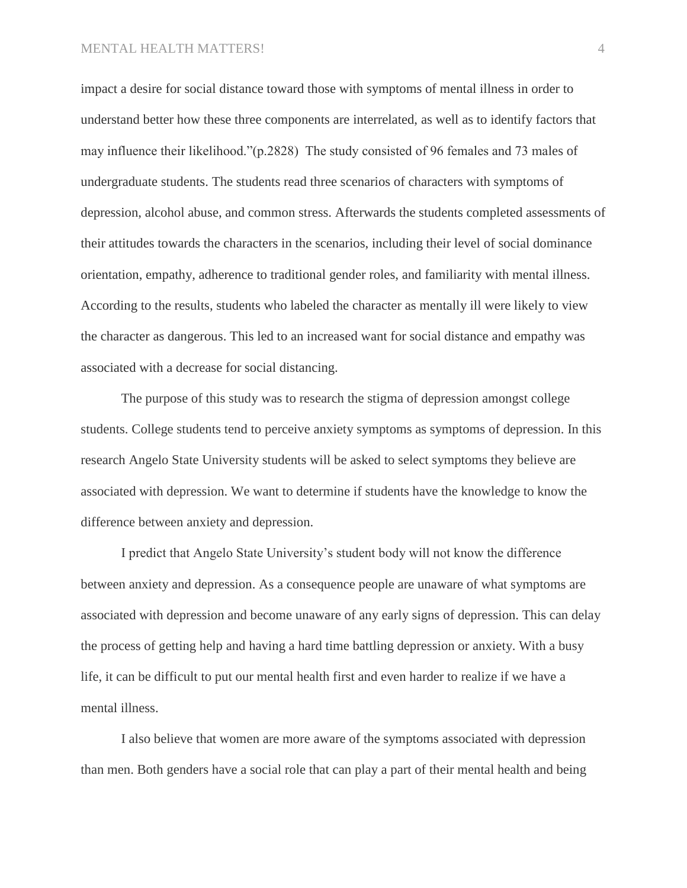### MENTAL HEALTH MATTERS! 4

impact a desire for social distance toward those with symptoms of mental illness in order to understand better how these three components are interrelated, as well as to identify factors that may influence their likelihood."(p.2828) The study consisted of 96 females and 73 males of undergraduate students. The students read three scenarios of characters with symptoms of depression, alcohol abuse, and common stress. Afterwards the students completed assessments of their attitudes towards the characters in the scenarios, including their level of social dominance orientation, empathy, adherence to traditional gender roles, and familiarity with mental illness. According to the results, students who labeled the character as mentally ill were likely to view the character as dangerous. This led to an increased want for social distance and empathy was associated with a decrease for social distancing.

The purpose of this study was to research the stigma of depression amongst college students. College students tend to perceive anxiety symptoms as symptoms of depression. In this research Angelo State University students will be asked to select symptoms they believe are associated with depression. We want to determine if students have the knowledge to know the difference between anxiety and depression.

I predict that Angelo State University's student body will not know the difference between anxiety and depression. As a consequence people are unaware of what symptoms are associated with depression and become unaware of any early signs of depression. This can delay the process of getting help and having a hard time battling depression or anxiety. With a busy life, it can be difficult to put our mental health first and even harder to realize if we have a mental illness.

I also believe that women are more aware of the symptoms associated with depression than men. Both genders have a social role that can play a part of their mental health and being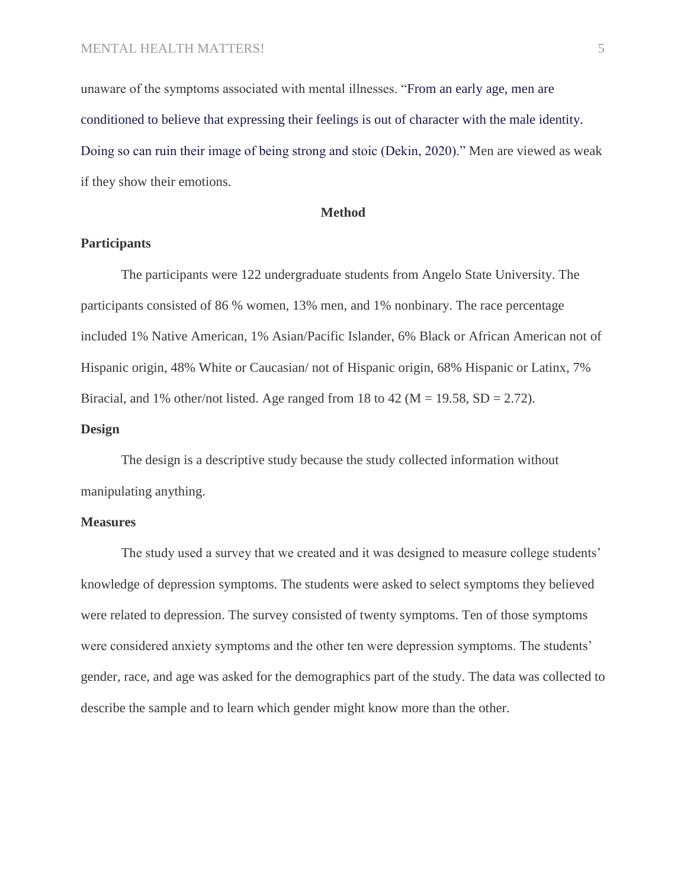unaware of the symptoms associated with mental illnesses. "From an early age, men are conditioned to believe that expressing their feelings is out of character with the male identity. Doing so can ruin their image of being strong and stoic (Dekin, 2020)." Men are viewed as weak if they show their emotions.

#### **Method**

## **Participants**

The participants were 122 undergraduate students from Angelo State University. The participants consisted of 86 % women, 13% men, and 1% nonbinary. The race percentage included 1% Native American, 1% Asian/Pacific Islander, 6% Black or African American not of Hispanic origin, 48% White or Caucasian/ not of Hispanic origin, 68% Hispanic or Latinx, 7% Biracial, and 1% other/not listed. Age ranged from 18 to 42 ( $M = 19.58$ ,  $SD = 2.72$ ).

### **Design**

The design is a descriptive study because the study collected information without manipulating anything.

#### **Measures**

The study used a survey that we created and it was designed to measure college students' knowledge of depression symptoms. The students were asked to select symptoms they believed were related to depression. The survey consisted of twenty symptoms. Ten of those symptoms were considered anxiety symptoms and the other ten were depression symptoms. The students' gender, race, and age was asked for the demographics part of the study. The data was collected to describe the sample and to learn which gender might know more than the other.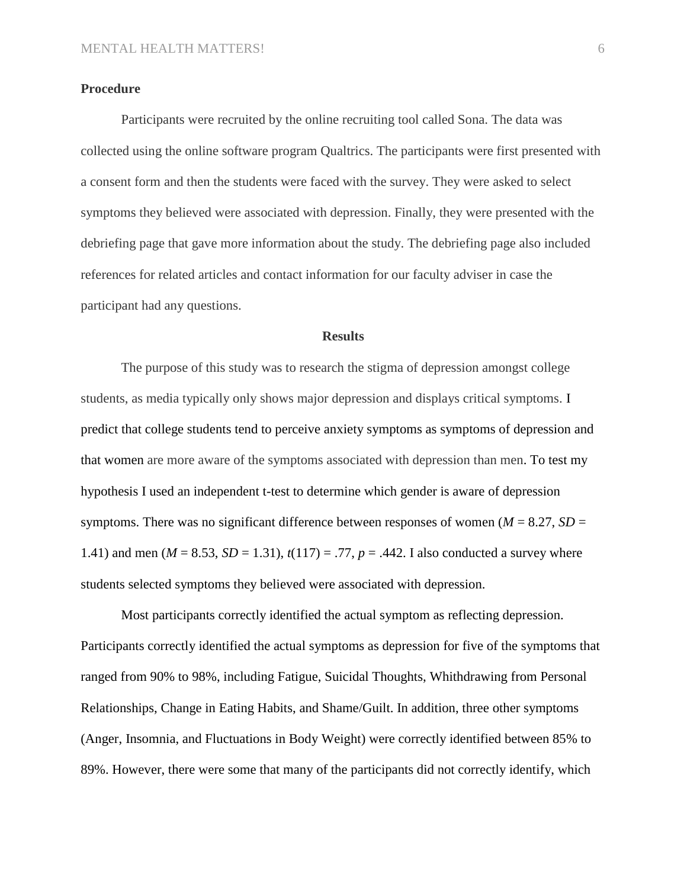# **Procedure**

Participants were recruited by the online recruiting tool called Sona. The data was collected using the online software program Qualtrics. The participants were first presented with a consent form and then the students were faced with the survey. They were asked to select symptoms they believed were associated with depression. Finally, they were presented with the debriefing page that gave more information about the study. The debriefing page also included references for related articles and contact information for our faculty adviser in case the participant had any questions.

#### **Results**

The purpose of this study was to research the stigma of depression amongst college students, as media typically only shows major depression and displays critical symptoms. I predict that college students tend to perceive anxiety symptoms as symptoms of depression and that women are more aware of the symptoms associated with depression than men. To test my hypothesis I used an independent t-test to determine which gender is aware of depression symptoms. There was no significant difference between responses of women ( $M = 8.27$ ,  $SD =$ 1.41) and men ( $M = 8.53$ ,  $SD = 1.31$ ),  $t(117) = .77$ ,  $p = .442$ . I also conducted a survey where students selected symptoms they believed were associated with depression.

Most participants correctly identified the actual symptom as reflecting depression. Participants correctly identified the actual symptoms as depression for five of the symptoms that ranged from 90% to 98%, including Fatigue, Suicidal Thoughts, Whithdrawing from Personal Relationships, Change in Eating Habits, and Shame/Guilt. In addition, three other symptoms (Anger, Insomnia, and Fluctuations in Body Weight) were correctly identified between 85% to 89%. However, there were some that many of the participants did not correctly identify, which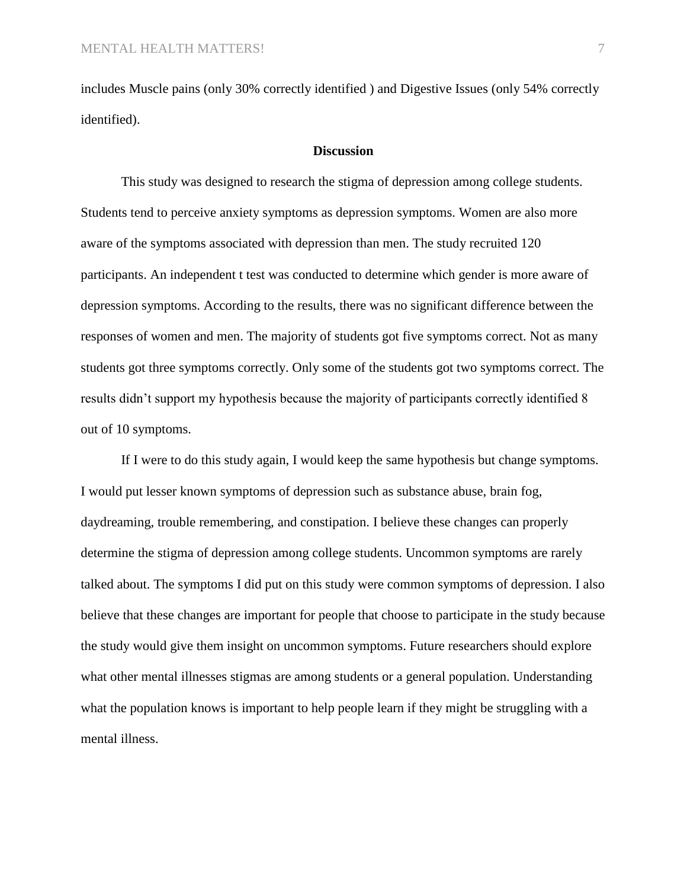includes Muscle pains (only 30% correctly identified ) and Digestive Issues (only 54% correctly identified).

#### **Discussion**

This study was designed to research the stigma of depression among college students. Students tend to perceive anxiety symptoms as depression symptoms. Women are also more aware of the symptoms associated with depression than men. The study recruited 120 participants. An independent t test was conducted to determine which gender is more aware of depression symptoms. According to the results, there was no significant difference between the responses of women and men. The majority of students got five symptoms correct. Not as many students got three symptoms correctly. Only some of the students got two symptoms correct. The results didn't support my hypothesis because the majority of participants correctly identified 8 out of 10 symptoms.

If I were to do this study again, I would keep the same hypothesis but change symptoms. I would put lesser known symptoms of depression such as substance abuse, brain fog, daydreaming, trouble remembering, and constipation. I believe these changes can properly determine the stigma of depression among college students. Uncommon symptoms are rarely talked about. The symptoms I did put on this study were common symptoms of depression. I also believe that these changes are important for people that choose to participate in the study because the study would give them insight on uncommon symptoms. Future researchers should explore what other mental illnesses stigmas are among students or a general population. Understanding what the population knows is important to help people learn if they might be struggling with a mental illness.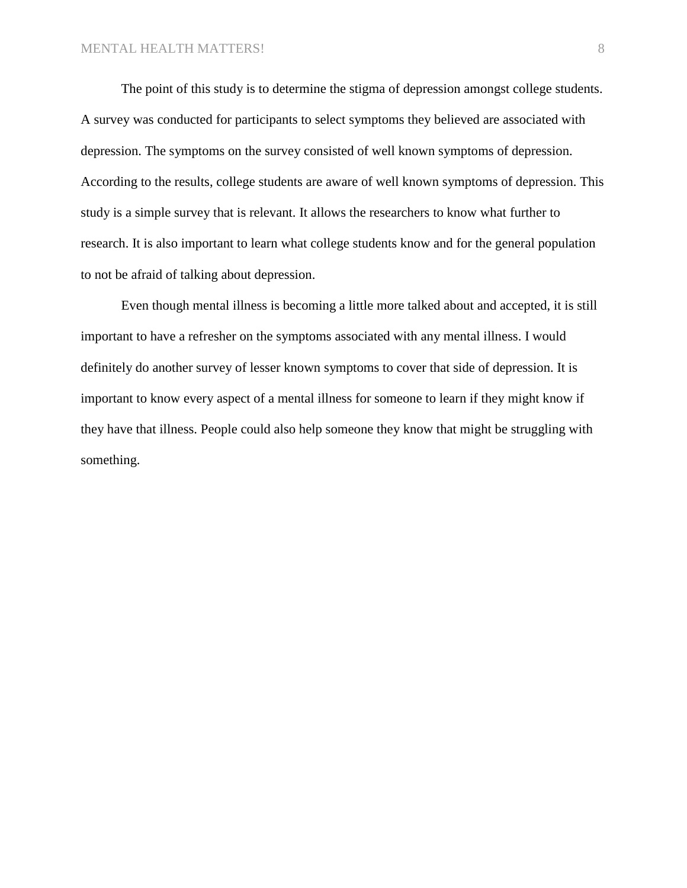The point of this study is to determine the stigma of depression amongst college students. A survey was conducted for participants to select symptoms they believed are associated with depression. The symptoms on the survey consisted of well known symptoms of depression. According to the results, college students are aware of well known symptoms of depression. This study is a simple survey that is relevant. It allows the researchers to know what further to research. It is also important to learn what college students know and for the general population to not be afraid of talking about depression.

Even though mental illness is becoming a little more talked about and accepted, it is still important to have a refresher on the symptoms associated with any mental illness. I would definitely do another survey of lesser known symptoms to cover that side of depression. It is important to know every aspect of a mental illness for someone to learn if they might know if they have that illness. People could also help someone they know that might be struggling with something.